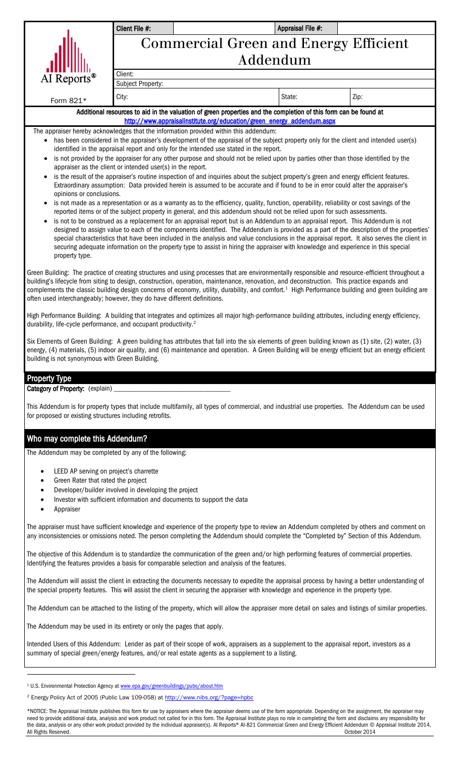|                                                                                                                                                                                                                                             | Client File #:                                             |                                                                                                                                                                                                                                                                                                 | Appraisal File #: |                                                                                                                                                      |  |  |  |  |  |  |
|---------------------------------------------------------------------------------------------------------------------------------------------------------------------------------------------------------------------------------------------|------------------------------------------------------------|-------------------------------------------------------------------------------------------------------------------------------------------------------------------------------------------------------------------------------------------------------------------------------------------------|-------------------|------------------------------------------------------------------------------------------------------------------------------------------------------|--|--|--|--|--|--|
|                                                                                                                                                                                                                                             |                                                            |                                                                                                                                                                                                                                                                                                 |                   |                                                                                                                                                      |  |  |  |  |  |  |
|                                                                                                                                                                                                                                             | <b>Commercial Green and Energy Efficient</b><br>Addendum   |                                                                                                                                                                                                                                                                                                 |                   |                                                                                                                                                      |  |  |  |  |  |  |
|                                                                                                                                                                                                                                             |                                                            |                                                                                                                                                                                                                                                                                                 |                   |                                                                                                                                                      |  |  |  |  |  |  |
| AI Reports <sup>®</sup>                                                                                                                                                                                                                     | Client:<br>Subject Property:                               |                                                                                                                                                                                                                                                                                                 |                   |                                                                                                                                                      |  |  |  |  |  |  |
|                                                                                                                                                                                                                                             | City:                                                      |                                                                                                                                                                                                                                                                                                 | State:            | Zip:                                                                                                                                                 |  |  |  |  |  |  |
| Form 821*                                                                                                                                                                                                                                   |                                                            |                                                                                                                                                                                                                                                                                                 |                   |                                                                                                                                                      |  |  |  |  |  |  |
| Additional resources to aid in the valuation of green properties and the completion of this form can be found at<br>http://www.appraisalinstitute.org/education/green_energy_addendum.aspx                                                  |                                                            |                                                                                                                                                                                                                                                                                                 |                   |                                                                                                                                                      |  |  |  |  |  |  |
|                                                                                                                                                                                                                                             |                                                            | The appraiser hereby acknowledges that the information provided within this addendum:                                                                                                                                                                                                           |                   |                                                                                                                                                      |  |  |  |  |  |  |
| has been considered in the appraiser's development of the appraisal of the subject property only for the client and intended user(s)<br>$\bullet$<br>identified in the appraisal report and only for the intended use stated in the report. |                                                            |                                                                                                                                                                                                                                                                                                 |                   |                                                                                                                                                      |  |  |  |  |  |  |
| $\bullet$                                                                                                                                                                                                                                   |                                                            | is not provided by the appraiser for any other purpose and should not be relied upon by parties other than those identified by the                                                                                                                                                              |                   |                                                                                                                                                      |  |  |  |  |  |  |
| $\bullet$                                                                                                                                                                                                                                   | appraiser as the client or intended user(s) in the report. | is the result of the appraiser's routine inspection of and inquiries about the subject property's green and energy efficient features.                                                                                                                                                          |                   |                                                                                                                                                      |  |  |  |  |  |  |
|                                                                                                                                                                                                                                             |                                                            | Extraordinary assumption: Data provided herein is assumed to be accurate and if found to be in error could alter the appraiser's                                                                                                                                                                |                   |                                                                                                                                                      |  |  |  |  |  |  |
| opinions or conclusions.<br>$\bullet$                                                                                                                                                                                                       |                                                            | is not made as a representation or as a warranty as to the efficiency, quality, function, operability, reliability or cost savings of the                                                                                                                                                       |                   |                                                                                                                                                      |  |  |  |  |  |  |
|                                                                                                                                                                                                                                             |                                                            | reported items or of the subject property in general, and this addendum should not be relied upon for such assessments.                                                                                                                                                                         |                   |                                                                                                                                                      |  |  |  |  |  |  |
| $\bullet$                                                                                                                                                                                                                                   |                                                            | is not to be construed as a replacement for an appraisal report but is an Addendum to an appraisal report. This Addendum is not<br>designed to assign value to each of the components identified. The Addendum is provided as a part of the description of the properties'                      |                   |                                                                                                                                                      |  |  |  |  |  |  |
|                                                                                                                                                                                                                                             |                                                            | special characteristics that have been included in the analysis and value conclusions in the appraisal report. It also serves the client in                                                                                                                                                     |                   |                                                                                                                                                      |  |  |  |  |  |  |
| property type.                                                                                                                                                                                                                              |                                                            | securing adequate information on the property type to assist in hiring the appraiser with knowledge and experience in this special                                                                                                                                                              |                   |                                                                                                                                                      |  |  |  |  |  |  |
|                                                                                                                                                                                                                                             |                                                            |                                                                                                                                                                                                                                                                                                 |                   |                                                                                                                                                      |  |  |  |  |  |  |
|                                                                                                                                                                                                                                             |                                                            | Green Building: The practice of creating structures and using processes that are environmentally responsible and resource-efficient throughout a<br>building's lifecycle from siting to design, construction, operation, maintenance, renovation, and deconstruction. This practice expands and |                   |                                                                                                                                                      |  |  |  |  |  |  |
|                                                                                                                                                                                                                                             |                                                            | complements the classic building design concerns of economy, utility, durability, and comfort. <sup>1</sup> High Performance building and green building are                                                                                                                                    |                   |                                                                                                                                                      |  |  |  |  |  |  |
| often used interchangeably; however, they do have different definitions.                                                                                                                                                                    |                                                            |                                                                                                                                                                                                                                                                                                 |                   |                                                                                                                                                      |  |  |  |  |  |  |
|                                                                                                                                                                                                                                             |                                                            | High Performance Building: A building that integrates and optimizes all major high-performance building attributes, including energy efficiency,                                                                                                                                                |                   |                                                                                                                                                      |  |  |  |  |  |  |
| durability, life-cycle performance, and occupant productivity. <sup>2</sup>                                                                                                                                                                 |                                                            |                                                                                                                                                                                                                                                                                                 |                   |                                                                                                                                                      |  |  |  |  |  |  |
|                                                                                                                                                                                                                                             |                                                            | Six Elements of Green Building: A green building has attributes that fall into the six elements of green building known as (1) site, (2) water, (3)                                                                                                                                             |                   |                                                                                                                                                      |  |  |  |  |  |  |
| building is not synonymous with Green Building.                                                                                                                                                                                             |                                                            | energy, (4) materials, (5) indoor air quality, and (6) maintenance and operation. A Green Building will be energy efficient but an energy efficient                                                                                                                                             |                   |                                                                                                                                                      |  |  |  |  |  |  |
|                                                                                                                                                                                                                                             |                                                            |                                                                                                                                                                                                                                                                                                 |                   |                                                                                                                                                      |  |  |  |  |  |  |
| <b>Property Type</b><br>Category of Property: (explain)                                                                                                                                                                                     |                                                            |                                                                                                                                                                                                                                                                                                 |                   |                                                                                                                                                      |  |  |  |  |  |  |
|                                                                                                                                                                                                                                             |                                                            |                                                                                                                                                                                                                                                                                                 |                   |                                                                                                                                                      |  |  |  |  |  |  |
| for proposed or existing structures including retrofits.                                                                                                                                                                                    |                                                            | This Addendum is for property types that include multifamily, all types of commercial, and industrial use properties. The Addendum can be used                                                                                                                                                  |                   |                                                                                                                                                      |  |  |  |  |  |  |
|                                                                                                                                                                                                                                             |                                                            |                                                                                                                                                                                                                                                                                                 |                   |                                                                                                                                                      |  |  |  |  |  |  |
| Who may complete this Addendum?                                                                                                                                                                                                             |                                                            |                                                                                                                                                                                                                                                                                                 |                   |                                                                                                                                                      |  |  |  |  |  |  |
| The Addendum may be completed by any of the following:                                                                                                                                                                                      |                                                            |                                                                                                                                                                                                                                                                                                 |                   |                                                                                                                                                      |  |  |  |  |  |  |
|                                                                                                                                                                                                                                             |                                                            |                                                                                                                                                                                                                                                                                                 |                   |                                                                                                                                                      |  |  |  |  |  |  |
| LEED AP serving on project's charrette<br>$\bullet$<br>Green Rater that rated the project<br>$\bullet$                                                                                                                                      |                                                            |                                                                                                                                                                                                                                                                                                 |                   |                                                                                                                                                      |  |  |  |  |  |  |
|                                                                                                                                                                                                                                             | Developer/builder involved in developing the project       |                                                                                                                                                                                                                                                                                                 |                   |                                                                                                                                                      |  |  |  |  |  |  |
| ٠<br>Appraiser                                                                                                                                                                                                                              |                                                            | Investor with sufficient information and documents to support the data                                                                                                                                                                                                                          |                   |                                                                                                                                                      |  |  |  |  |  |  |
|                                                                                                                                                                                                                                             |                                                            |                                                                                                                                                                                                                                                                                                 |                   |                                                                                                                                                      |  |  |  |  |  |  |
|                                                                                                                                                                                                                                             |                                                            | The appraiser must have sufficient knowledge and experience of the property type to review an Addendum completed by others and comment on<br>any inconsistencies or omissions noted. The person completing the Addendum should complete the "Completed by" Section of this Addendum.            |                   |                                                                                                                                                      |  |  |  |  |  |  |
|                                                                                                                                                                                                                                             |                                                            | The objective of this Addendum is to standardize the communication of the green and/or high performing features of commercial properties.<br>Identifying the features provides a basis for comparable selection and analysis of the features.                                                   |                   |                                                                                                                                                      |  |  |  |  |  |  |
|                                                                                                                                                                                                                                             |                                                            | The Addendum will assist the client in extracting the documents necessary to expedite the appraisal process by having a better understanding of<br>the special property features. This will assist the client in securing the appraiser with knowledge and experience in the property type.     |                   |                                                                                                                                                      |  |  |  |  |  |  |
|                                                                                                                                                                                                                                             |                                                            |                                                                                                                                                                                                                                                                                                 |                   | The Addendum can be attached to the listing of the property, which will allow the appraiser more detail on sales and listings of similar properties. |  |  |  |  |  |  |

The Addendum may be used in its entirety or only the pages that apply.

Intended Users of this Addendum: Lender as part of their scope of work, appraisers as a supplement to the appraisal report, investors as a summary of special green/energy features, and/or real estate agents as a supplement to a listing.

\*NOTICE: The Appraisal Institute publishes this form for use by appraisers where the appraiser deems use of the form appropriate. Depending on the assignment, the appraiser may need to provide additional data, analysis and work product not called for in this form. The Appraisal Institute plays no role in completing the form and disclaims any responsibility for the data, analysis or any other work product provided by the individual appraiser(s). AI Reports® AI-821 Commercial Green and Energy Efficient Addendum © Appraisal Institute 2014, All Rights Reserved. October 2014

<sup>&</sup>lt;sup>1</sup> U.S. Environmental Protection Agency a[t www.epa.gov/greenbuildings/pubs/about.htm](http://www.epa.gov/greenbuildings/pubs/about.htm)

<sup>&</sup>lt;sup>2</sup> Energy Policy Act of 2005 (Public Law 109-058) a[t http://www.nibs.org/?page=hpbc](http://www.nibs.org/?page=hpbc)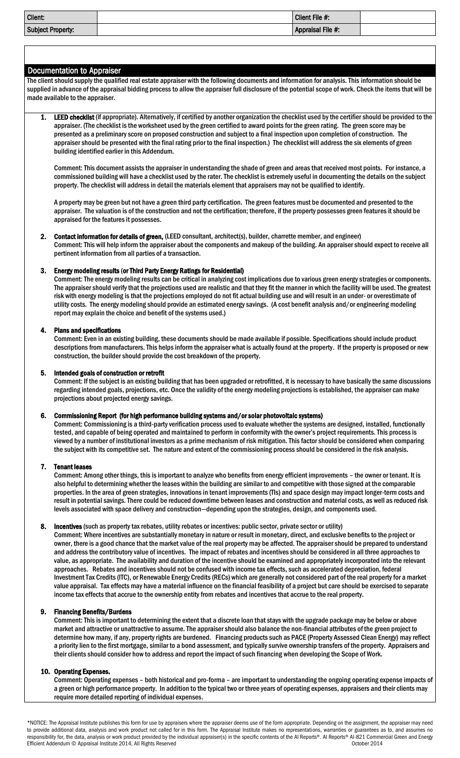| <b>Client:</b>           | Client File #:    |  |
|--------------------------|-------------------|--|
| <b>Subject Property:</b> | Appraisal File #: |  |

# Documentation to Appraiser

 The client should supply the qualified real estate appraiser with the following documents and information for analysis. This information should be supplied in advance of the appraisal bidding process to allow the appraiser full disclosure of the potential scope of work. Check the items that will be made available to the appraiser.

LEED checklist (if appropriate). Alternatively, if certified by another organization the checklist used by the certifier should be provided to the appraiser. (The checklist is the worksheet used by the green certified to award points for the green rating. The green score may be presented as a preliminary score on proposed construction and subject to a final inspection upon completion of construction. The appraiser should be presented with the final rating prior to the final inspection.) The checklist will address the six elements of green building identified earlier in this Addendum.

Comment: This document assists the appraiser in understanding the shade of green and areas that received most points. For instance, a commissioned building will have a checklist used by the rater. The checklist is extremely useful in documenting the details on the subject property. The checklist will address in detail the materials element that appraisers may not be qualified to identify.

A property may be green but not have a green third party certification. The green features must be documented and presented to the appraiser. The valuation is of the construction and not the certification; therefore, if the property possesses green features it should be appraised for the features it possesses.

2. Contact information for details of green, (LEED consultant, architect(s), builder, charrette member, and engineer) Comment: This will help inform the appraiser about the components and makeup of the building. An appraiser should expect to receive all pertinent information from all parties of a transaction.

### 3. Energy modeling results (or Third Party Energy Ratings for Residential)

Comment: The energy modeling results can be critical in analyzing cost implications due to various green energy strategies or components. The appraiser should verify that the projections used are realistic and that they fit the manner in which the facility will be used. The greatest risk with energy modeling is that the projections employed do not fit actual building use and will result in an under- or overestimate of utility costs. The energy modeling should provide an estimated energy savings. (A cost benefit analysis and/or engineering modeling report may explain the choice and benefit of the systems used.)

#### 4. Plans and specifications

Comment: Even in an existing building, these documents should be made available if possible. Specifications should include product descriptions from manufacturers. This helps inform the appraiser what is actually found at the property. If the property is proposed or new construction, the builder should provide the cost breakdown of the property.

#### 5. Intended goals of construction or retrofit

Comment: If the subject is an existing building that has been upgraded or retrofitted, it is necessary to have basically the same discussions regarding intended goals, projections, etc. Once the validity of the energy modeling projections is established, the appraiser can make projections about projected energy savings.

### 6. Commissioning Report (for high performance building systems and/or solar photovoltaic systems)

Comment: Commissioning is a third-party verification process used to evaluate whether the systems are designed, installed, functionally tested, and capable of being operated and maintained to perform in conformity with the owner's project requirements. This process is viewed by a number of institutional investors as a prime mechanism of risk mitigation. This factor should be considered when comparing the subject with its competitive set. The nature and extent of the commissioning process should be considered in the risk analysis.

### 7. Tenant leases

Comment: Among other things, this is important to analyze who benefits from energy efficient improvements – the owner or tenant. It is also helpful to determining whether the leases within the building are similar to and competitive with those signed at the comparable properties. In the area of green strategies, innovations in tenant improvements (TIs) and space design may impact longer-term costs and result in potential savings. There could be reduced downtime between leases and construction and material costs, as well asreduced risk levels associated with space delivery and construction—depending upon the strategies, design, and components used.

### 8. Incentives (such as property tax rebates, utility rebates or incentives: public sector, private sector or utility)

Comment: Where incentives are substantially monetary in nature or result in monetary, direct, and exclusive benefits to the project or owner, there is a good chance that the market value of the real property may be affected. The appraiser should be prepared to understand and address the contributory value of incentives. The impact of rebates and incentives should be considered in all three approaches to value, as appropriate. The availability and duration of the incentive should be examined and appropriately incorporated into the relevant approaches. Rebates and incentives should not be confused with income tax effects, such as accelerated depreciation, federal Investment Tax Credits (ITC), or Renewable Energy Credits (RECs) which are generally not considered part of the real property for a market value appraisal. Tax effects may have a material influence on the financial feasibility of a project but care should be exercised to separate income tax effects that accrue to the ownership entity from rebates and incentives that accrue to the real property.

### 9. Financing Benefits/Burdens

Comment: This is important to determining the extent that a discrete loan that stays with the upgrade package may be below or above market and attractive or unattractive to assume. The appraiser should also balance the non-financial attributes of the green project to determine how many, if any, property rights are burdened. Financing products such as PACE (Property Assessed Clean Energy) may reflect a priority lien to the first mortgage, similar to a bond assessment, and typically survive ownership transfers of the property. Appraisers and their clients should consider how to address and report the impact of such financing when developing the Scope of Work.

### 10. Operating Expenses.

Comment: Operating expenses – both historical and pro-forma – are important to understanding the ongoing operating expense impacts of a green or high performance property. In addition to the typical two or three years of operating expenses, appraisers and their clients may require more detailed reporting of individual expenses.

\*NOTICE: The Appraisal Institute publishes this form for use by appraisers where the appraiser deems use of the form appropriate. Depending on the assignment, the appraiser may need to provide additional data, analysis and work product not called for in this form. The Appraisal Institute makes no representations, warranties or guarantees as to, and assumes no responsibility for, the data, analysis or work product provided by the individual appraiser(s) in the specific contents of the AI Reports®. AI Reports® AI-821 Commercial Green and Energy Efficient Addendum © Appraisal Institute 2014, All Rights Reserved **Department Construction** October 2014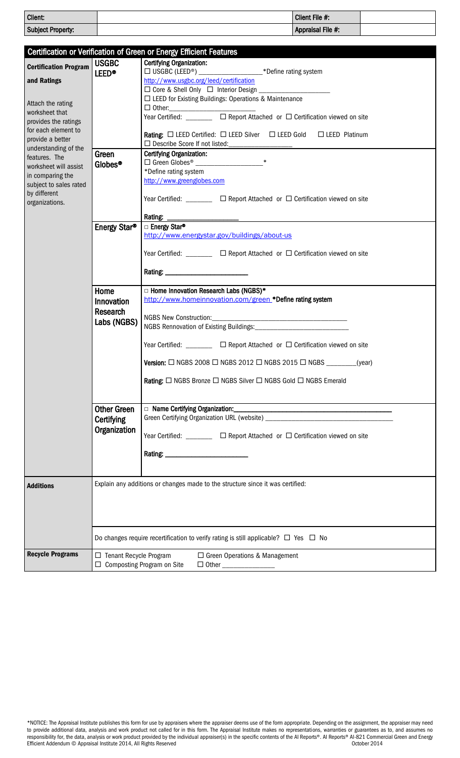| Client:           | Client File #:    |  |
|-------------------|-------------------|--|
| Subject Property: | Appraisal File #: |  |

|                                       |                          | Certification or Verification of Green or Energy Efficient Features                                                                                                                                                                                             |
|---------------------------------------|--------------------------|-----------------------------------------------------------------------------------------------------------------------------------------------------------------------------------------------------------------------------------------------------------------|
| <b>Certification Program</b>          | <b>USGBC</b>             | <b>Certifying Organization:</b>                                                                                                                                                                                                                                 |
|                                       | <b>LEED®</b>             | http://www.usgbc.org/leed/certification                                                                                                                                                                                                                         |
| and Ratings                           |                          | $\Box$ Core & Shell Only $\Box$ Interior Design                                                                                                                                                                                                                 |
|                                       |                          | □ LEED for Existing Buildings: Operations & Maintenance                                                                                                                                                                                                         |
| Attach the rating                     |                          |                                                                                                                                                                                                                                                                 |
| worksheet that                        |                          | $\begin{tabular}{l l l} $\Box$ Other. \quad \quad & \quad \quad & \quad \quad & \quad \quad \\ \hline \textbf{Year Certified: } $\hspace{-.5em}\Box$ & $\hspace{-.5em}\Box$ Report Attached or $\hspace{-.5em}\Box$ Certification viewed on site \end{tabular}$ |
| provides the ratings                  |                          |                                                                                                                                                                                                                                                                 |
| for each element to                   |                          | <b>Rating:</b> $\Box$ LEED Certified: $\Box$ LEED Silver $\Box$ LEED Gold $\Box$ LEED Platinum                                                                                                                                                                  |
| provide a better                      |                          | □ Describe Score If not listed:<br>□ Describe Score If not listed:                                                                                                                                                                                              |
| understanding of the<br>features. The | Green                    | <b>Certifying Organization:</b>                                                                                                                                                                                                                                 |
| worksheet will assist                 | Globes <sup>®</sup>      | $\ast$                                                                                                                                                                                                                                                          |
| in comparing the                      |                          | *Define rating system                                                                                                                                                                                                                                           |
| subject to sales rated                |                          | http://www.greenglobes.com                                                                                                                                                                                                                                      |
| by different                          |                          |                                                                                                                                                                                                                                                                 |
| organizations.                        |                          | Year Certified: $\Box$ $\Box$ Report Attached or $\Box$ Certification viewed on site                                                                                                                                                                            |
|                                       |                          |                                                                                                                                                                                                                                                                 |
|                                       |                          |                                                                                                                                                                                                                                                                 |
|                                       | Energy Star®             | □ Energy Star®                                                                                                                                                                                                                                                  |
|                                       |                          | http://www.energystar.gov/buildings/about-us                                                                                                                                                                                                                    |
|                                       |                          |                                                                                                                                                                                                                                                                 |
|                                       |                          | Year Certified: $\Box$ $\Box$ Report Attached or $\Box$ Certification viewed on site                                                                                                                                                                            |
|                                       |                          |                                                                                                                                                                                                                                                                 |
|                                       |                          |                                                                                                                                                                                                                                                                 |
|                                       | Home                     | □ Home Innovation Research Labs (NGBS)*                                                                                                                                                                                                                         |
|                                       | Innovation               | http://www.homeinnovation.com/green *Define rating system                                                                                                                                                                                                       |
|                                       | <b>Research</b>          |                                                                                                                                                                                                                                                                 |
|                                       | Labs (NGBS)              |                                                                                                                                                                                                                                                                 |
|                                       |                          |                                                                                                                                                                                                                                                                 |
|                                       |                          |                                                                                                                                                                                                                                                                 |
|                                       |                          | Year Certified: ________ □ Report Attached or □ Certification viewed on site                                                                                                                                                                                    |
|                                       |                          |                                                                                                                                                                                                                                                                 |
|                                       |                          | <b>Version:</b> $\Box$ NGBS 2008 $\Box$ NGBS 2012 $\Box$ NGBS 2015 $\Box$ NGBS _______(year)                                                                                                                                                                    |
|                                       |                          | <b>Rating:</b> □ NGBS Bronze □ NGBS Silver □ NGBS Gold □ NGBS Emerald                                                                                                                                                                                           |
|                                       |                          |                                                                                                                                                                                                                                                                 |
|                                       |                          |                                                                                                                                                                                                                                                                 |
|                                       | <b>Other Green</b>       |                                                                                                                                                                                                                                                                 |
|                                       | Certifying               |                                                                                                                                                                                                                                                                 |
|                                       | Organization             |                                                                                                                                                                                                                                                                 |
|                                       |                          |                                                                                                                                                                                                                                                                 |
|                                       |                          | Year Certified: ________ □ Report Attached or □ Certification viewed on site                                                                                                                                                                                    |
|                                       |                          |                                                                                                                                                                                                                                                                 |
|                                       |                          |                                                                                                                                                                                                                                                                 |
|                                       |                          |                                                                                                                                                                                                                                                                 |
|                                       |                          |                                                                                                                                                                                                                                                                 |
| <b>Additions</b>                      |                          | Explain any additions or changes made to the structure since it was certified:                                                                                                                                                                                  |
|                                       |                          |                                                                                                                                                                                                                                                                 |
|                                       |                          |                                                                                                                                                                                                                                                                 |
|                                       |                          |                                                                                                                                                                                                                                                                 |
|                                       |                          |                                                                                                                                                                                                                                                                 |
|                                       |                          |                                                                                                                                                                                                                                                                 |
|                                       |                          | Do changes require recertification to verify rating is still applicable? $\Box$ Yes $\Box$ No                                                                                                                                                                   |
| <b>Recycle Programs</b>               | □ Tenant Recycle Program | □ Green Operations & Management                                                                                                                                                                                                                                 |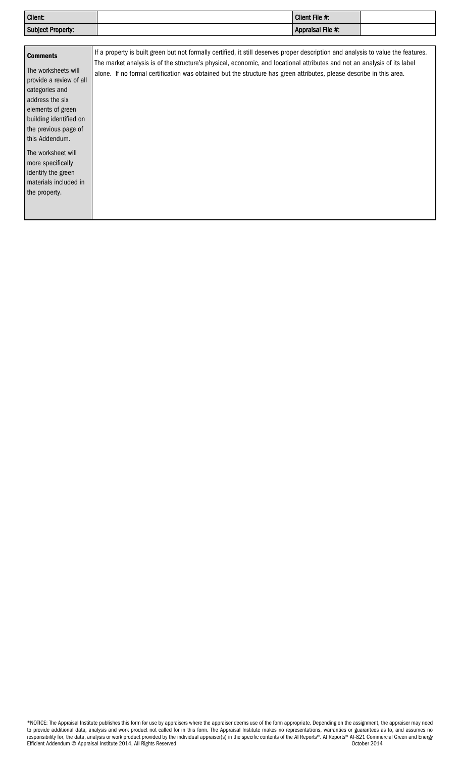| <b>Client:</b>           | Client File #:    |  |
|--------------------------|-------------------|--|
| <b>Subject Property:</b> | Appraisal File #: |  |

| <b>Comments</b><br>The worksheets will<br>provide a review of all<br>categories and<br>address the six  | If a property is built green but not formally certified, it still deserves proper description and analysis to value the features.<br>The market analysis is of the structure's physical, economic, and locational attributes and not an analysis of its label<br>alone. If no formal certification was obtained but the structure has green attributes, please describe in this area. |
|---------------------------------------------------------------------------------------------------------|---------------------------------------------------------------------------------------------------------------------------------------------------------------------------------------------------------------------------------------------------------------------------------------------------------------------------------------------------------------------------------------|
| elements of green<br>building identified on<br>the previous page of<br>this Addendum.                   |                                                                                                                                                                                                                                                                                                                                                                                       |
| The worksheet will<br>more specifically<br>identify the green<br>materials included in<br>the property. |                                                                                                                                                                                                                                                                                                                                                                                       |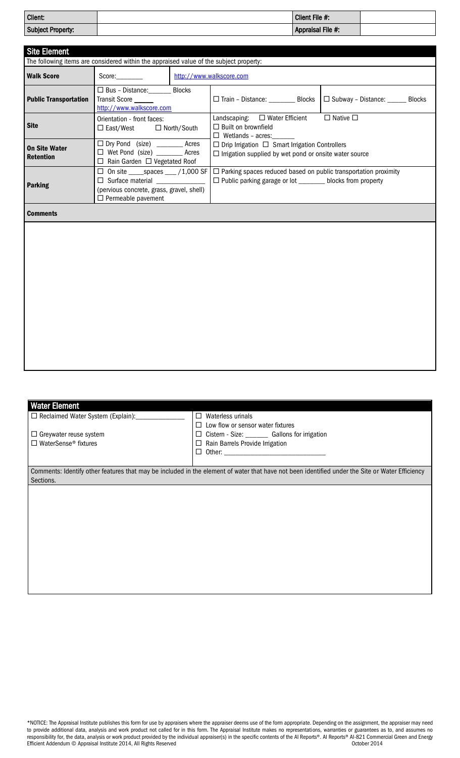| Client:           | Client File #:    |  |
|-------------------|-------------------|--|
| Subject Property: | Appraisal File #: |  |

| <b>Site Element</b>                      |                                                                                                                   |                                                                                                                                                                                                                                                               |                                                                                                                             |                                    |  |  |  |  |
|------------------------------------------|-------------------------------------------------------------------------------------------------------------------|---------------------------------------------------------------------------------------------------------------------------------------------------------------------------------------------------------------------------------------------------------------|-----------------------------------------------------------------------------------------------------------------------------|------------------------------------|--|--|--|--|
|                                          | The following items are considered within the appraised value of the subject property:                            |                                                                                                                                                                                                                                                               |                                                                                                                             |                                    |  |  |  |  |
| <b>Walk Score</b>                        | Score                                                                                                             |                                                                                                                                                                                                                                                               | http://www.walkscore.com                                                                                                    |                                    |  |  |  |  |
| <b>Public Transportation</b>             | □ Bus - Distance: _____ Blocks<br>Transit Score<br>http://www.walkscore.com                                       |                                                                                                                                                                                                                                                               | □ Train - Distance: _________ Blocks                                                                                        | □ Subway - Distance: ______ Blocks |  |  |  |  |
| <b>Site</b>                              | Orientation - front faces:<br>$\Box$ East/West $\Box$ North/South                                                 |                                                                                                                                                                                                                                                               | Landscaping: □ Water Efficient<br>$\Box$ Built on brownfield<br>$\Box$ Wetlands - acres:                                    | $\Box$ Native $\Box$               |  |  |  |  |
| <b>On Site Water</b><br><b>Retention</b> | □ Dry Pond (size) _________ Acres<br>□ Wet Pond (size) ________ Acres<br>$\Box$ Rain Garden $\Box$ Vegetated Roof |                                                                                                                                                                                                                                                               | $\Box$ Drip Irrigation $\Box$ Smart Irrigation Controllers<br>$\Box$ Irrigation supplied by wet pond or onsite water source |                                    |  |  |  |  |
| <b>Parking</b>                           | $\Box$ Permeable pavement                                                                                         | $\Box$ On site _____spaces ____/1,000 SF $\Box$ Parking spaces reduced based on public transportation proximity<br>□ Public parking garage or lot _______ blocks from property<br>$\Box$ Surface material $\Box$<br>(pervious concrete, grass, gravel, shell) |                                                                                                                             |                                    |  |  |  |  |
| <b>Comments</b>                          |                                                                                                                   |                                                                                                                                                                                                                                                               |                                                                                                                             |                                    |  |  |  |  |
|                                          |                                                                                                                   |                                                                                                                                                                                                                                                               |                                                                                                                             |                                    |  |  |  |  |

| <b>Water Element</b>                     |                                                                                                                                                 |
|------------------------------------------|-------------------------------------------------------------------------------------------------------------------------------------------------|
| $\Box$ Reclaimed Water System (Explain): | $\Box$<br>Waterless urinals                                                                                                                     |
|                                          | $\Box$ Low flow or sensor water fixtures                                                                                                        |
| $\Box$ Greywater reuse system            | $\Box$ Cistern - Size: ____________ Gallons for irrigation                                                                                      |
| $\Box$ WaterSense <sup>®</sup> fixtures  | Rain Barrels Provide Irrigation<br>⊔                                                                                                            |
|                                          |                                                                                                                                                 |
|                                          |                                                                                                                                                 |
|                                          | Comments: Identify other features that may be included in the element of water that have not been identified under the Site or Water Efficiency |
| Sections.                                |                                                                                                                                                 |
|                                          |                                                                                                                                                 |
|                                          |                                                                                                                                                 |
|                                          |                                                                                                                                                 |
|                                          |                                                                                                                                                 |
|                                          |                                                                                                                                                 |
|                                          |                                                                                                                                                 |
|                                          |                                                                                                                                                 |
|                                          |                                                                                                                                                 |
|                                          |                                                                                                                                                 |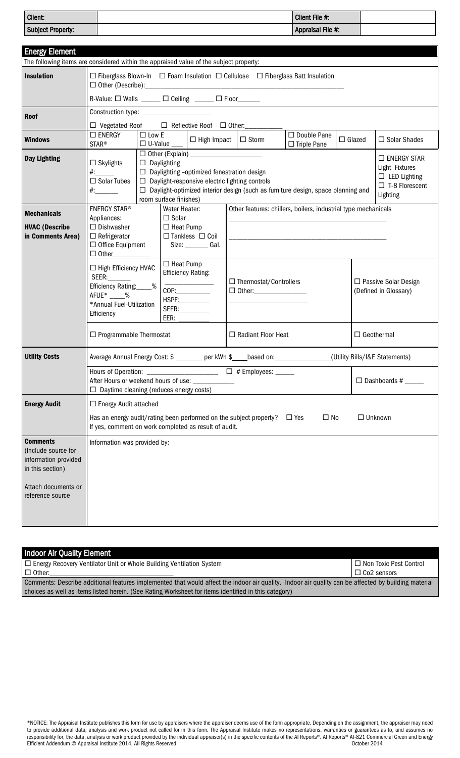| Client:                                                                                |                                                                                                                                                                          |                                                                                                      |                               |                                                                                                            |  |                               | Client File #:                                                                          |                   |  |                                                 |  |
|----------------------------------------------------------------------------------------|--------------------------------------------------------------------------------------------------------------------------------------------------------------------------|------------------------------------------------------------------------------------------------------|-------------------------------|------------------------------------------------------------------------------------------------------------|--|-------------------------------|-----------------------------------------------------------------------------------------|-------------------|--|-------------------------------------------------|--|
| <b>Subject Property:</b>                                                               |                                                                                                                                                                          |                                                                                                      |                               |                                                                                                            |  |                               | Appraisal File #:                                                                       |                   |  |                                                 |  |
|                                                                                        |                                                                                                                                                                          |                                                                                                      |                               |                                                                                                            |  |                               |                                                                                         |                   |  |                                                 |  |
| <b>Energy Element</b>                                                                  |                                                                                                                                                                          |                                                                                                      |                               |                                                                                                            |  |                               |                                                                                         |                   |  |                                                 |  |
| The following items are considered within the appraised value of the subject property: |                                                                                                                                                                          |                                                                                                      |                               |                                                                                                            |  |                               |                                                                                         |                   |  |                                                 |  |
| <b>Insulation</b>                                                                      |                                                                                                                                                                          | $\Box$ Fiberglass Blown-In $\Box$ Foam Insulation $\Box$ Cellulose $\Box$ Fiberglass Batt Insulation |                               |                                                                                                            |  |                               |                                                                                         |                   |  |                                                 |  |
|                                                                                        | R-Value: $\Box$ Walls _____ $\Box$ Ceiling _____ $\Box$ Floor_____                                                                                                       |                                                                                                      |                               |                                                                                                            |  |                               |                                                                                         |                   |  |                                                 |  |
| <b>Roof</b>                                                                            |                                                                                                                                                                          | Construction type: _______________________                                                           |                               |                                                                                                            |  |                               |                                                                                         |                   |  |                                                 |  |
|                                                                                        | $\Box$ Vegetated Roof $\Box$ Reflective Roof $\Box$ Other:                                                                                                               |                                                                                                      |                               |                                                                                                            |  |                               |                                                                                         |                   |  |                                                 |  |
| <b>Windows</b>                                                                         | $\square$ ENERGY                                                                                                                                                         | $\Box$ Low E<br>$\Box$ U-Value $\_\_$                                                                |                               | $\Box$ High Impact                                                                                         |  | $\Box$ Storm                  | $\Box$ Double Pane                                                                      | $\Box$ Glazed     |  | □ Solar Shades                                  |  |
|                                                                                        | <b>STAR®</b>                                                                                                                                                             |                                                                                                      |                               |                                                                                                            |  |                               | $\Box$ Triple Pane                                                                      |                   |  |                                                 |  |
| <b>Day Lighting</b>                                                                    | $\Box$ Skylights                                                                                                                                                         |                                                                                                      | $\Box$ Daylighting            |                                                                                                            |  |                               |                                                                                         |                   |  | $\square$ ENERGY STAR<br>Light Fixtures         |  |
|                                                                                        | $\#$ :<br>$\Box$ Solar Tubes                                                                                                                                             |                                                                                                      |                               | $\Box$ Daylighting -optimized fenestration design<br>$\Box$ Daylight-responsive electric lighting controls |  |                               |                                                                                         |                   |  | $\square$ LED Lighting                          |  |
|                                                                                        |                                                                                                                                                                          |                                                                                                      |                               |                                                                                                            |  |                               | $\Box$ Daylight-optimized interior design (such as furniture design, space planning and |                   |  | $\Box$ T-8 Florescent                           |  |
|                                                                                        |                                                                                                                                                                          |                                                                                                      | room surface finishes)        |                                                                                                            |  |                               |                                                                                         |                   |  | Lighting                                        |  |
| <b>Mechanicals</b>                                                                     | <b>ENERGY STAR®</b><br>Appliances:                                                                                                                                       |                                                                                                      | Water Heater:<br>$\Box$ Solar |                                                                                                            |  |                               | Other features: chillers, boilers, industrial type mechanicals                          |                   |  |                                                 |  |
| <b>HVAC (Describe</b>                                                                  | $\Box$ Dishwasher                                                                                                                                                        |                                                                                                      | $\Box$ Heat Pump              |                                                                                                            |  |                               |                                                                                         |                   |  |                                                 |  |
| in Comments Area)                                                                      | $\Box$ Refrigerator                                                                                                                                                      |                                                                                                      |                               | $\Box$ Tankless $\Box$ Coil                                                                                |  |                               |                                                                                         |                   |  |                                                 |  |
|                                                                                        | $\Box$ Office Equipment<br>$\Box$ Other                                                                                                                                  |                                                                                                      |                               | Size: ________ Gal.                                                                                        |  |                               |                                                                                         |                   |  |                                                 |  |
|                                                                                        |                                                                                                                                                                          |                                                                                                      | $\Box$ Heat Pump              |                                                                                                            |  |                               |                                                                                         |                   |  |                                                 |  |
|                                                                                        | $\Box$ High Efficiency HVAC<br><b>SEER:</b>                                                                                                                              |                                                                                                      | <b>Efficiency Rating:</b>     |                                                                                                            |  |                               |                                                                                         |                   |  |                                                 |  |
|                                                                                        | Efficiency Rating:____%                                                                                                                                                  |                                                                                                      | COP:                          |                                                                                                            |  | $\Box$ Thermostat/Controllers |                                                                                         |                   |  | □ Passive Solar Design<br>(Defined in Glossary) |  |
|                                                                                        | $\Box$ Other:__________________<br>AFUE* %<br>HSPF:_________                                                                                                             |                                                                                                      |                               |                                                                                                            |  |                               |                                                                                         |                   |  |                                                 |  |
|                                                                                        | *Annual Fuel-Utilization<br>SEER:________<br>Efficiency<br>EER: $\qquad$                                                                                                 |                                                                                                      |                               |                                                                                                            |  |                               |                                                                                         |                   |  |                                                 |  |
|                                                                                        |                                                                                                                                                                          |                                                                                                      |                               |                                                                                                            |  |                               |                                                                                         |                   |  |                                                 |  |
|                                                                                        | $\Box$ Programmable Thermostat<br>$\Box$ Radiant Floor Heat                                                                                                              |                                                                                                      |                               |                                                                                                            |  |                               |                                                                                         | $\Box$ Geothermal |  |                                                 |  |
| <b>Utility Costs</b>                                                                   | Average Annual Energy Cost: \$ _______ per kWh \$ ____ based on: _________________                                                                                       |                                                                                                      |                               |                                                                                                            |  |                               |                                                                                         |                   |  | (Utility Bills/I&E Statements)                  |  |
|                                                                                        |                                                                                                                                                                          |                                                                                                      |                               |                                                                                                            |  |                               |                                                                                         |                   |  |                                                 |  |
|                                                                                        | After Hours or weekend hours of use: ____________<br>$\Box$ Dashboards # ______<br>$\Box$ Daytime cleaning (reduces energy costs)                                        |                                                                                                      |                               |                                                                                                            |  |                               |                                                                                         |                   |  |                                                 |  |
|                                                                                        |                                                                                                                                                                          |                                                                                                      |                               |                                                                                                            |  |                               |                                                                                         |                   |  |                                                 |  |
| <b>Energy Audit</b>                                                                    | $\Box$ Energy Audit attached                                                                                                                                             |                                                                                                      |                               |                                                                                                            |  |                               |                                                                                         |                   |  |                                                 |  |
|                                                                                        | $\square$ No<br>Has an energy audit/rating been performed on the subject property? $\Box$ Yes<br>$\Box$ Unknown<br>If yes, comment on work completed as result of audit. |                                                                                                      |                               |                                                                                                            |  |                               |                                                                                         |                   |  |                                                 |  |
| <b>Comments</b><br>(Include source for<br>information provided<br>in this section)     | Information was provided by:                                                                                                                                             |                                                                                                      |                               |                                                                                                            |  |                               |                                                                                         |                   |  |                                                 |  |
|                                                                                        |                                                                                                                                                                          |                                                                                                      |                               |                                                                                                            |  |                               |                                                                                         |                   |  |                                                 |  |
| Attach documents or<br>reference source                                                |                                                                                                                                                                          |                                                                                                      |                               |                                                                                                            |  |                               |                                                                                         |                   |  |                                                 |  |
|                                                                                        |                                                                                                                                                                          |                                                                                                      |                               |                                                                                                            |  |                               |                                                                                         |                   |  |                                                 |  |
|                                                                                        |                                                                                                                                                                          |                                                                                                      |                               |                                                                                                            |  |                               |                                                                                         |                   |  |                                                 |  |
|                                                                                        |                                                                                                                                                                          |                                                                                                      |                               |                                                                                                            |  |                               |                                                                                         |                   |  |                                                 |  |

| Indoor Air Quality Element                                                                                                                           |                               |
|------------------------------------------------------------------------------------------------------------------------------------------------------|-------------------------------|
| □ Energy Recovery Ventilator Unit or Whole Building Ventilation System                                                                               | $\Box$ Non Toxic Pest Control |
| $\Box$ Other:                                                                                                                                        | $\Box$ Co2 sensors            |
| Comments: Describe additional features implemented that would affect the indoor air quality. Indoor air quality can be affected by building material |                               |
| choices as well as items listed herein. (See Rating Worksheet for items identified in this category)                                                 |                               |

\*NOTICE: The Appraisal Institute publishes this form for use by appraisers where the appraiser deems use of the form appropriate. Depending on the assignment, the appraiser may need to provide additional data, analysis and work product not called for in this form. The Appraisal Institute makes no representations, warranties or guarantees as to, and assumes no responsibility for, the data, analysis or work product provided by the individual appraiser(s) in the specific contents of the AI Reports®. AI Reports® AI-821 Commercial Green and Energy Efficient Addendum © Appraisal Institute 2014, All Rights Reserved **October 2014 October 2014**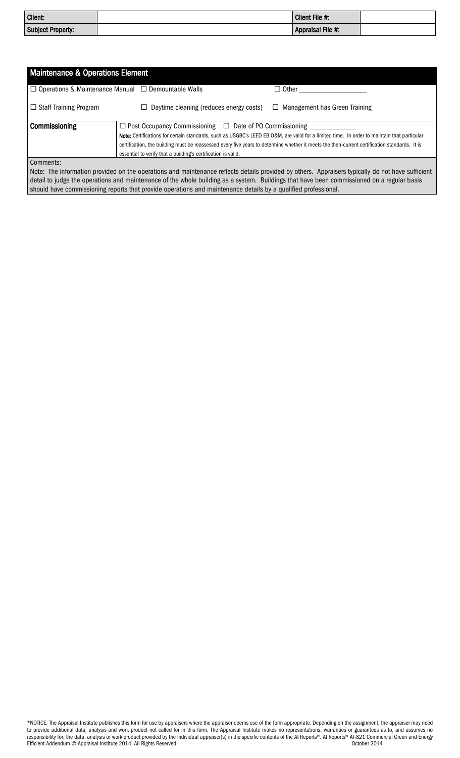| Client:                  | Client File #:    |  |
|--------------------------|-------------------|--|
| <b>Subject Property:</b> | Appraisal File #: |  |

| <b>Maintenance &amp; Operations Element</b>                     |                                                                            |                                                                                                                                                   |
|-----------------------------------------------------------------|----------------------------------------------------------------------------|---------------------------------------------------------------------------------------------------------------------------------------------------|
| $\Box$ Operations & Maintenance Manual $\Box$ Demountable Walls |                                                                            | $\Box$ Other                                                                                                                                      |
| $\Box$ Staff Training Program                                   | Daytime cleaning (reduces energy costs)                                    | Management has Green Training<br>⊔                                                                                                                |
| Commissioning                                                   | $\Box$ Post Occupancy Commissioning $\Box$ Date of PO Commissioning $\Box$ |                                                                                                                                                   |
|                                                                 |                                                                            | Note: Certifications for certain standards, such as USGBC's LEED EB O&M, are valid for a limited time. In order to maintain that particular       |
|                                                                 |                                                                            | certification, the building must be reassessed every five years to determine whether it meets the then-current certification standards. It is     |
|                                                                 | essential to verify that a building's certification is valid.              |                                                                                                                                                   |
| Comments:                                                       |                                                                            |                                                                                                                                                   |
|                                                                 |                                                                            | Note: The information provided on the operations and maintenance reflects details provided by others. Appraisers typically do not have sufficient |

detail to judge the operations and maintenance of the whole building as a system. Buildings that have been commissioned on a regular basis should have commissioning reports that provide operations and maintenance details by a qualified professional.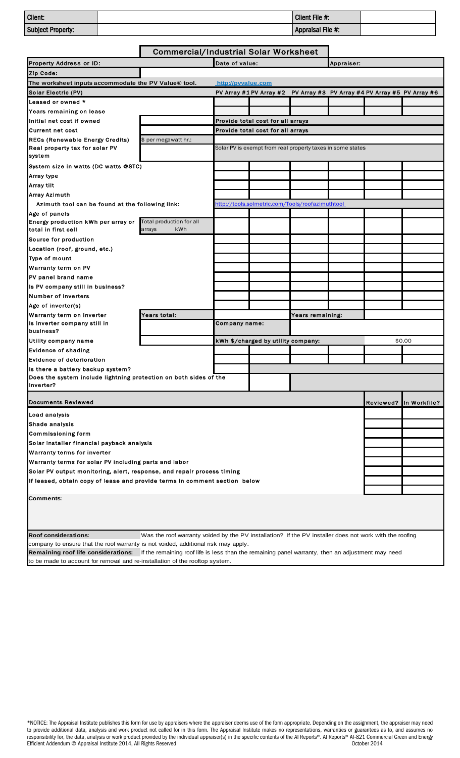| Client:           | Client File #:    |  |
|-------------------|-------------------|--|
| Subject Property: | Appraisal File #: |  |
|                   |                   |  |

|                                                                                    | <b>Commercial/Industrial Solar Worksheet</b>                                                            |                                                                              |                                                  |                  |  |                                                 |                        |
|------------------------------------------------------------------------------------|---------------------------------------------------------------------------------------------------------|------------------------------------------------------------------------------|--------------------------------------------------|------------------|--|-------------------------------------------------|------------------------|
| <b>Property Address or ID:</b>                                                     | Date of value:                                                                                          |                                                                              | Appraiser:                                       |                  |  |                                                 |                        |
| Zip Code:                                                                          |                                                                                                         |                                                                              |                                                  |                  |  |                                                 |                        |
| The worksheet inputs accommodate the PV Value® tool.                               |                                                                                                         | http://pvvalue.com                                                           |                                                  |                  |  |                                                 |                        |
| Solar Electric (PV)                                                                |                                                                                                         |                                                                              | PV Array #1 PV Array #2                          |                  |  | PV Array #3 PV Array #4 PV Array #5 PV Array #6 |                        |
| Leased or owned *                                                                  |                                                                                                         |                                                                              |                                                  |                  |  |                                                 |                        |
| Years remaining on lease                                                           |                                                                                                         |                                                                              |                                                  |                  |  |                                                 |                        |
| Initial net cost if owned                                                          |                                                                                                         |                                                                              | Provide total cost for all arrays                |                  |  |                                                 |                        |
| Current net cost                                                                   |                                                                                                         | Provide total cost for all arrays                                            |                                                  |                  |  |                                                 |                        |
| <b>RECs (Renewable Energy Credits)</b>                                             | \$ per megawatt hr.:                                                                                    |                                                                              |                                                  |                  |  |                                                 |                        |
| Real property tax for solar PV<br>system                                           |                                                                                                         | Solar PV is exempt from real property taxes in some states                   |                                                  |                  |  |                                                 |                        |
| System size in watts (DC watts @STC)                                               |                                                                                                         |                                                                              |                                                  |                  |  |                                                 |                        |
| Array type                                                                         |                                                                                                         |                                                                              |                                                  |                  |  |                                                 |                        |
| Array tilt                                                                         |                                                                                                         |                                                                              |                                                  |                  |  |                                                 |                        |
| Array Azimuth                                                                      |                                                                                                         |                                                                              |                                                  |                  |  |                                                 |                        |
| Azimuth tool can be found at the following link:                                   |                                                                                                         |                                                                              | http://tools.solmetric.com/Tools/roofazimuthtool |                  |  |                                                 |                        |
| Age of panels                                                                      |                                                                                                         |                                                                              |                                                  |                  |  |                                                 |                        |
| Energy production kWh per array or<br>total in first cell                          | Total production for all<br>kWh<br>arrays                                                               |                                                                              |                                                  |                  |  |                                                 |                        |
| Source for production                                                              |                                                                                                         |                                                                              |                                                  |                  |  |                                                 |                        |
| Location (roof, ground, etc.)                                                      |                                                                                                         |                                                                              |                                                  |                  |  |                                                 |                        |
| Type of mount                                                                      |                                                                                                         |                                                                              |                                                  |                  |  |                                                 |                        |
| Warranty term on PV                                                                |                                                                                                         |                                                                              |                                                  |                  |  |                                                 |                        |
| PV panel brand name                                                                |                                                                                                         |                                                                              |                                                  |                  |  |                                                 |                        |
| Is PV company still in business?                                                   |                                                                                                         |                                                                              |                                                  |                  |  |                                                 |                        |
| Number of inverters                                                                |                                                                                                         |                                                                              |                                                  |                  |  |                                                 |                        |
| Age of inverter(s)                                                                 |                                                                                                         |                                                                              |                                                  |                  |  |                                                 |                        |
| Warranty term on inverter                                                          | Years total:                                                                                            |                                                                              |                                                  | Years remaining: |  |                                                 |                        |
| Is inverter company still in<br>business?                                          |                                                                                                         | Company name:                                                                |                                                  |                  |  |                                                 |                        |
| Utility company name                                                               |                                                                                                         |                                                                              | kWh \$/charged by utility company:               |                  |  |                                                 | \$0.00                 |
| <b>Evidence of shading</b>                                                         |                                                                                                         |                                                                              |                                                  |                  |  |                                                 |                        |
| Evidence of deterioration                                                          |                                                                                                         |                                                                              |                                                  |                  |  |                                                 |                        |
| Is there a battery backup system?                                                  |                                                                                                         |                                                                              |                                                  |                  |  |                                                 |                        |
| Does the system include lightning protection on both sides of the<br>inverter?     |                                                                                                         |                                                                              |                                                  |                  |  |                                                 |                        |
| <b>Documents Reviewed</b>                                                          |                                                                                                         |                                                                              |                                                  |                  |  |                                                 | Reviewed? In Workfile? |
| Load analysis                                                                      |                                                                                                         |                                                                              |                                                  |                  |  |                                                 |                        |
| <b>Shade analysis</b>                                                              |                                                                                                         |                                                                              |                                                  |                  |  |                                                 |                        |
| <b>Commissioning form</b>                                                          |                                                                                                         |                                                                              |                                                  |                  |  |                                                 |                        |
| Solar installer financial payback analysis                                         |                                                                                                         |                                                                              |                                                  |                  |  |                                                 |                        |
| <b>Warranty terms for inverter</b>                                                 |                                                                                                         |                                                                              |                                                  |                  |  |                                                 |                        |
| Warranty terms for solar PV including parts and labor                              |                                                                                                         |                                                                              |                                                  |                  |  |                                                 |                        |
| Solar PV output monitoring, alert, response, and repair process timing             |                                                                                                         |                                                                              |                                                  |                  |  |                                                 |                        |
| If leased, obtain copy of lease and provide terms in comment section below         |                                                                                                         |                                                                              |                                                  |                  |  |                                                 |                        |
| Comments:                                                                          |                                                                                                         |                                                                              |                                                  |                  |  |                                                 |                        |
| <b>Roof considerations:</b>                                                        | Was the roof warranty voided by the PV installation? If the PV installer does not work with the roofing |                                                                              |                                                  |                  |  |                                                 |                        |
| company to ensure that the roof warranty is not voided, additional risk may apply. |                                                                                                         |                                                                              |                                                  |                  |  |                                                 |                        |
| Remaining roof life considerations:                                                | If the remaining roof life is less than the remaining panel warranty, then an adjustment may need       |                                                                              |                                                  |                  |  |                                                 |                        |
|                                                                                    |                                                                                                         | to be made to account for removal and re-installation of the rooftop system. |                                                  |                  |  |                                                 |                        |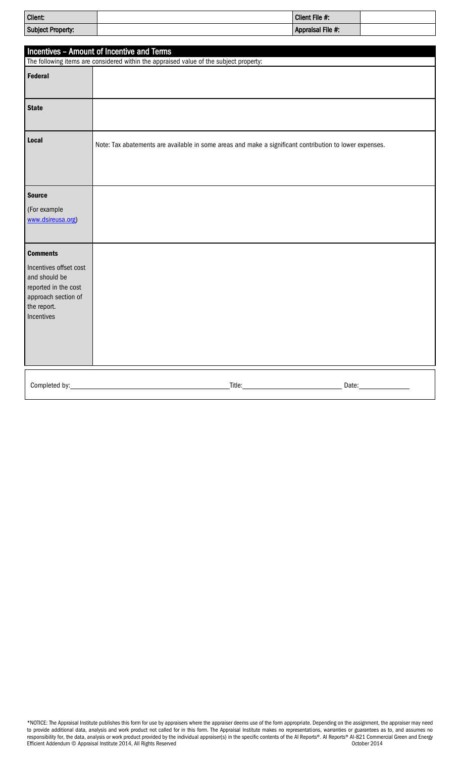| Client:           | Client File #:    |  |
|-------------------|-------------------|--|
| Subject Property: | Appraisal File #: |  |

|                                                                                                                                        | Incentives - Amount of Incentive and Terms                                                              |
|----------------------------------------------------------------------------------------------------------------------------------------|---------------------------------------------------------------------------------------------------------|
|                                                                                                                                        | The following items are considered within the appraised value of the subject property:                  |
| Federal                                                                                                                                |                                                                                                         |
| <b>State</b>                                                                                                                           |                                                                                                         |
| Local                                                                                                                                  | Note: Tax abatements are available in some areas and make a significant contribution to lower expenses. |
| <b>Source</b><br>(For example<br>www.dsireusa.org)                                                                                     |                                                                                                         |
| <b>Comments</b><br>Incentives offset cost<br>and should be<br>reported in the cost<br>approach section of<br>the report.<br>Incentives |                                                                                                         |
| Completed by:                                                                                                                          | Title: <u>___________________________________</u><br>Date: 1                                            |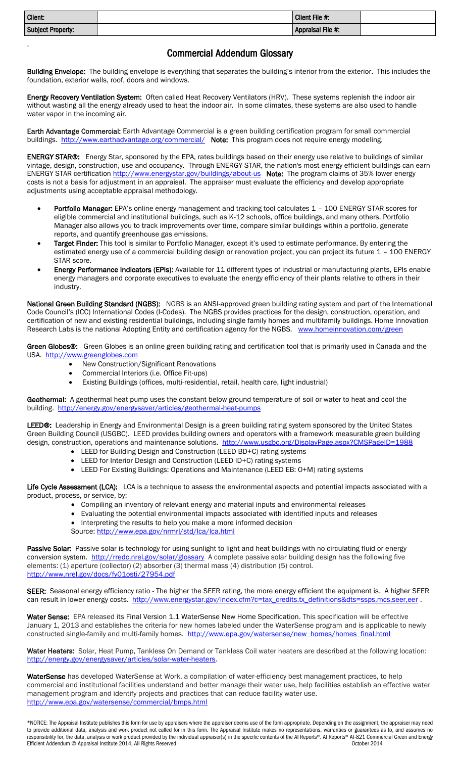| <b>Client:</b>           | Client File #:    |  |
|--------------------------|-------------------|--|
| <b>Subject Property:</b> | Appraisal File #: |  |

# Commercial Addendum Glossary

Building Envelope: The building envelope is everything that separates the building's interior from the exterior. This includes the foundation, exterior walls, roof, doors and windows.

Energy Recovery Ventilation System: Often called Heat Recovery Ventilators (HRV). These systems replenish the indoor air without wasting all the energy already used to heat the indoor air. In some climates, these systems are also used to handle water vapor in the incoming air.

Earth Advantage Commercial: Earth Advantage Commercial is a green building certification program for small commercial buildings.<http://www.earthadvantage.org/commercial/> Note: This program does not require energy modeling.

ENERGY STAR®: Energy Star, sponsored by the EPA, rates buildings based on their energy use relative to buildings of similar vintage, design, construction, use and occupancy. Through ENERGY STAR, the nation's most energy efficient buildings can earn ENERGY STAR certification <http://www.energystar.gov/buildings/about-us> Note: The program claims of 35% lower energy costs is not a basis for adjustment in an appraisal. The appraiser must evaluate the efficiency and develop appropriate adjustments using acceptable appraisal methodology.

- [Portfolio Manager:](http://www.energystar.gov/buildings/facility-owners-and-managers/existing-buildings/use-portfolio-manager) EPA's online energy management and tracking tool calculates 1 100 ENERGY STAR scores for eligible commercial and institutional buildings, such as K-12 schools, office buildings, and many others. Portfolio Manager also allows you to track improvements over time, compare similar buildings within a portfolio, generate reports, and quantify greenhouse gas emissions.
- [Target Finder:](http://www.energystar.gov/buildings/service-providers/design/step-step-process/evaluate-target/epa’s-target-finder-calculator) This tool is similar to Portfolio Manager, except it's used to estimate performance. By entering the estimated energy use of a commercial building design or renovation project, you can project its future 1 - 100 ENERGY STAR score.
- [Energy Performance Indicators \(EPIs\):](http://www.energystar.gov/buildings/facility-owners-and-managers/industrial-plants/measure-track-and-benchmark/energy-star-energy) Available for 11 different types of industrial or manufacturing plants, EPIs enable energy managers and corporate executives to evaluate the energy efficiency of their plants relative to others in their industry.

National Green Building Standard (NGBS): NGBS is an ANSI-approved green building rating system and part of the International Code Council's (ICC) International Codes (I-Codes). The NGBS provides practices for the design, construction, operation, and certification of new and existing residential buildings, including single family homes and multifamily buildings. Home Innovation Research Labs is the national Adopting Entity and certification agency for the NGBS. [www.homeinnovation.com/green](http://www.homeinnovation.com/green)

Green Globes<sup>®</sup>: Green Globes is an online green building rating and certification tool that is primarily used in Canada and the USA. [http://www.greenglobes.com](http://www.greenglobes.com/) 

- New Construction/Significant Renovations
- Commercial Interiors (i.e. Office Fit-ups)

Ea

Existing Buildings (offices, multi-residential, retail, health care, light industrial)

Geothermal: A geothermal heat pump uses the constant below ground temperature of soil or water to heat and cool the building. <http://energy.gov/energysaver/articles/geothermal-heat-pumps>

LEED®: Leadership in Energy and Environmental Design is a green building rating system sponsored by the United States Green Building Council (USGBC). LEED provides building owners and operators with a framework measurable green building design, construction, operations and maintenance solutions. <http://www.usgbc.org/DisplayPage.aspx?CMSPageID=1988>

- LEED for Building Design and Construction (LEED BD+C) rating systems
- LEED for Interior Design and Construction (LEED ID+C) rating systems
- LEED For Existing Buildings: Operations and Maintenance (LEED EB: O+M) rating systems

Life Cycle Assessment (LCA): LCA is a technique to assess the environmental aspects and potential impacts associated with a product, process, or service, by:

- Compiling an inventory of relevant energy and material inputs and environmental releases
- Evaluating the potential environmental impacts associated with identified inputs and releases
- Interpreting the results to help you make a more informed decision Source:<http://www.epa.gov/nrmrl/std/lca/lca.html>

Passive Solar: Passive solar is technology for using sunlight to light and heat buildings with no circulating fluid or energy conversion system.<http://rredc.nrel.gov/solar/glossary> A complete passive solar building design has the following five elements: (1) aperture (collector) (2) absorber (3) thermal mass (4) distribution (5) control. <http://www.nrel.gov/docs/fy01osti/27954.pdf>

SEER: Seasonal energy efficiency ratio - The higher the SEER rating, the more energy efficient the equipment is. A higher SEER can result in lower energy costs. http://www.energystar.gov/index.cfm?c=tax\_credits.tx\_definitions&dts=ssps,mcs,seer.eer .

Water Sense: EPA released it[s Final Version 1.1 WaterSense New Home Specification.](http://www.epa.gov/watersense/docs/home_finalspec508.pdf) This specification will be effective January 1, 2013 and establishes the criteria for new homes labeled under the WaterSense program and is applicable to newly constructed single-family and multi-family homes. [http://www.epa.gov/watersense/new\\_homes/homes\\_final.html](http://www.epa.gov/watersense/new_homes/homes_final.html)

Water Heaters: Solar, Heat Pump, Tankless On Demand or Tankless Coil water heaters are described at the following location: [http://energy.gov/energysaver/articles/solar-water-heaters.](http://energy.gov/energysaver/articles/solar-water-heaters)

WaterSense has developed WaterSense at Work, a compilation of water-efficiency best management practices, to help commercial and institutional facilities understand and better manage their water use, help facilities establish an effective water management program and identify projects and practices that can reduce facility water use. <http://www.epa.gov/watersense/commercial/bmps.html>

\*NOTICE: The Appraisal Institute publishes this form for use by appraisers where the appraiser deems use of the form appropriate. Depending on the assignment, the appraiser may need to provide additional data, analysis and work product not called for in this form. The Appraisal Institute makes no representations, warranties or guarantees as to, and assumes no responsibility for, the data, analysis or work product provided by the individual appraiser(s) in the specific contents of the AI Reports®. AI Reports® AI-821 Commercial Green and Energy Efficient Addendum © Appraisal Institute 2014, All Rights Reserved **October 2014** Corporation Control Reserved October 2014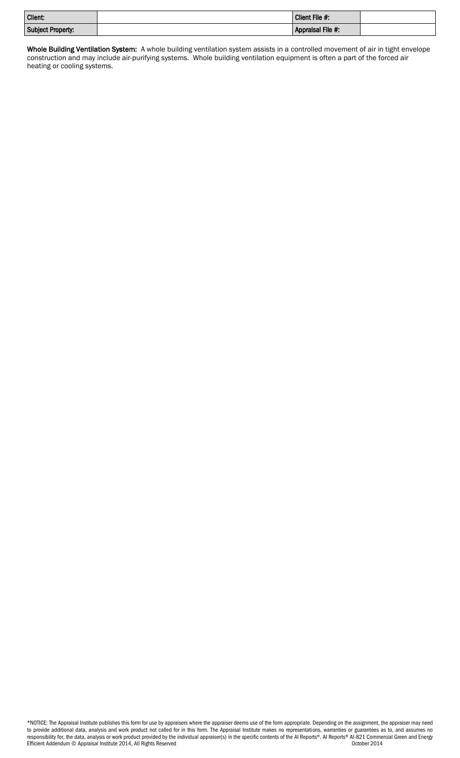| <b>Client:</b>           | Client File #:    |  |
|--------------------------|-------------------|--|
| <b>Subject Property:</b> | Appraisal File #: |  |

Whole Building Ventilation System: A whole building ventilation system assists in a controlled movement of air in tight envelope construction and may include air-purifying systems. Whole building ventilation equipment is often a part of the forced air heating or cooling systems.